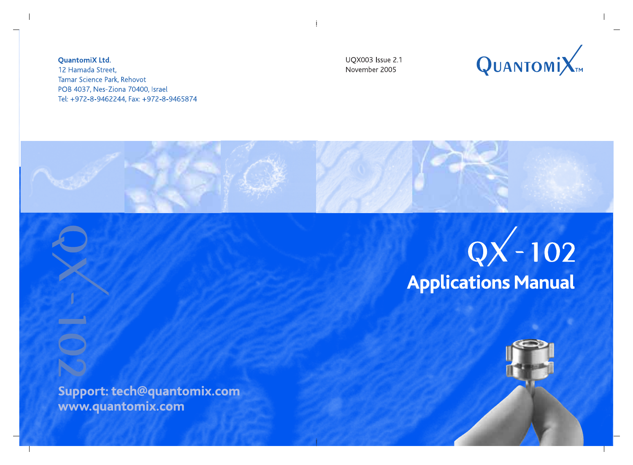**UOX003** Issue 2.1 November 2005





# QX - 102

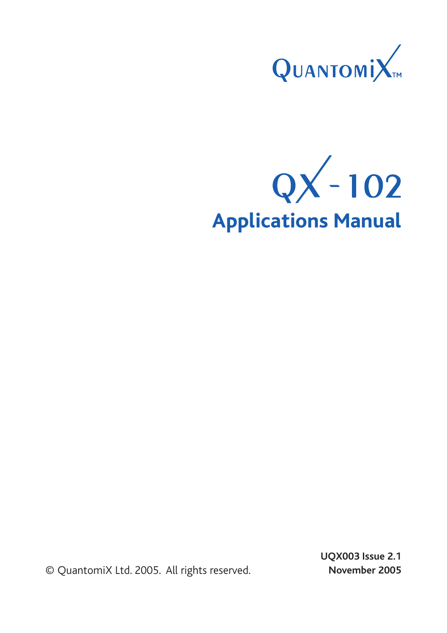

**QX-102 Applications Manual**

© QuantomiX Ltd. 2005. All rights reserved.

 **UQX003 Issue 2.1 November 2005**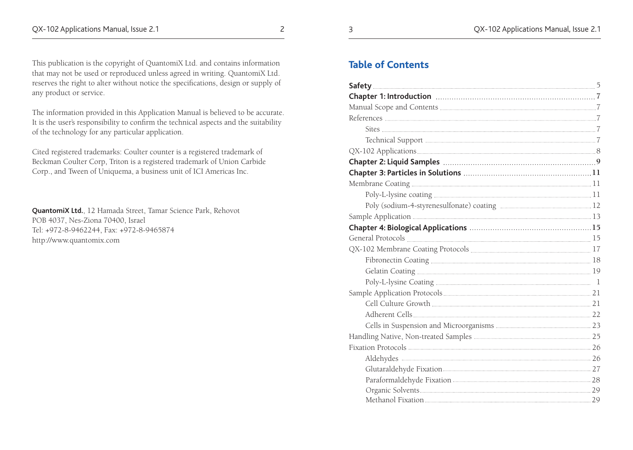#### **Table of Contents**

This publication is the copyright of QuantomiX Ltd. and contains information that may not be used or reproduced unless agreed in writing. QuantomiX Ltd. reserves the right to alter without notice the specifications, design or supply of any product or service.

The information provided in this Application Manual is believed to be accurate. It is the user's responsibility to confirm the technical aspects and the suitability of the technology for any particular application.

Cited registered trademarks: Coulter counter is a registered trademark of Beckman Coulter Corp, Triton is a registered trademark of Union Carbide Corp., and Tween of Uniquema, a business unit of ICI Americas Inc.

**QuantomiX Ltd.**, 12 Hamada Street, Tamar Science Park, Rehovot POB 4037, Nes-Ziona 70400, Israel Tel: +972-8-9462244, Fax: +972-8-9465874 http://www.quantomix.com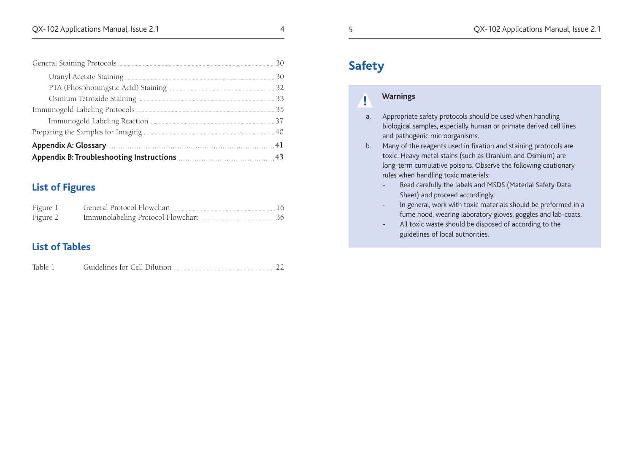# **List of Figures**

| Figure 1 | General Protocol Flowchart |  |
|----------|----------------------------|--|
| Figure 2 |                            |  |

# **List of Tables**

# **Safety**

**!**

# **Warnings**

- a. Appropriate safety protocols should be used when handling biological samples, especially human or primate derived cell lines and pathogenic microorganisms.
- b. Many of the reagents used in fixation and staining protocols are toxic. Heavy metal stains (such as Uranium and Osmium) are long-term cumulative poisons. Observe the following cautionary rules when handling toxic materials:
	- Read carefully the labels and MSDS (Material Safety Data Sheet) and proceed accordingly.
	- In general, work with toxic materials should be preformed in a fume hood, wearing laboratory gloves, goggles and lab-coats.
	- All toxic waste should be disposed of according to the guidelines of local authorities.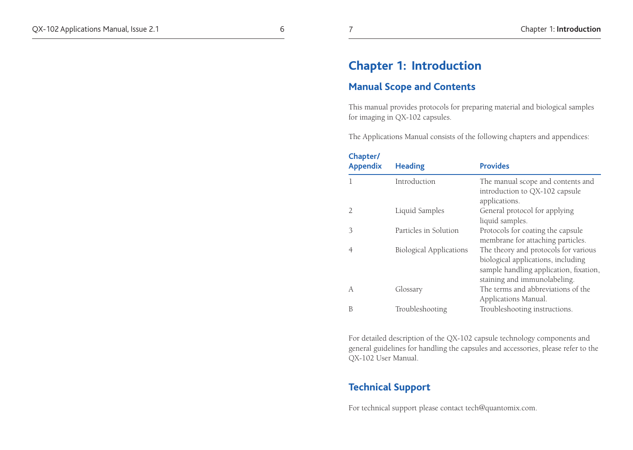# **Chapter 1: Introduction**

#### **Manual Scope and Contents**

This manual provides protocols for preparing material and biological samples for imaging in QX-102 capsules.

The Applications Manual consists of the following chapters and appendices:

| Chapter/<br><b>Appendix</b> | <b>Heading</b>                 | <b>Provides</b>                                                                                                                                      |
|-----------------------------|--------------------------------|------------------------------------------------------------------------------------------------------------------------------------------------------|
| 1                           | Introduction                   | The manual scope and contents and<br>introduction to QX-102 capsule<br>applications.                                                                 |
| $\overline{2}$              | Liquid Samples                 | General protocol for applying<br>liquid samples.                                                                                                     |
| 3                           | Particles in Solution          | Protocols for coating the capsule<br>membrane for attaching particles.                                                                               |
| 4                           | <b>Biological Applications</b> | The theory and protocols for various<br>biological applications, including<br>sample handling application, fixation,<br>staining and immunolabeling. |
| A                           | Glossary                       | The terms and abbreviations of the<br>Applications Manual.                                                                                           |
| B                           | Troubleshooting                | Troubleshooting instructions.                                                                                                                        |

For detailed description of the QX-102 capsule technology components and general guidelines for handling the capsules and accessories, please refer to the QX-102 User Manual.

## **Technical Support**

For technical support please contact tech@quantomix.com.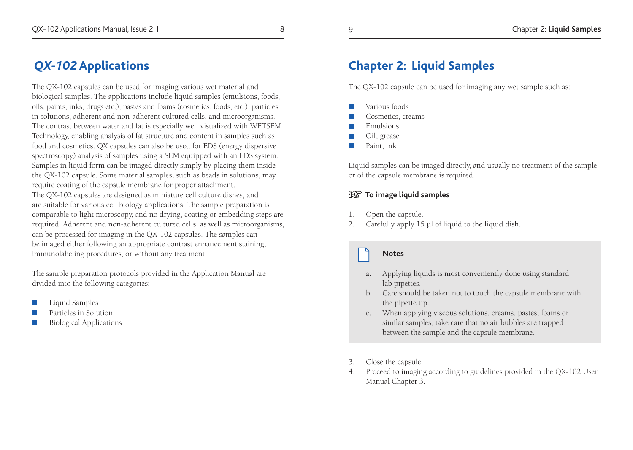# *QX-102* **Applications**

The QX-102 capsules can be used for imaging various wet material and biological samples. The applications include liquid samples (emulsions, foods, oils, paints, inks, drugs etc.), pastes and foams (cosmetics, foods, etc.), particles in solutions, adherent and non-adherent cultured cells, and microorganisms. The contrast between water and fat is especially well visualized with WETSEM Technology, enabling analysis of fat structure and content in samples such as food and cosmetics. QX capsules can also be used for EDS (energy dispersive spectroscopy) analysis of samples using a SEM equipped with an EDS system. Samples in liquid form can be imaged directly simply by placing them inside the QX-102 capsule. Some material samples, such as beads in solutions, may require coating of the capsule membrane for proper attachment.

The QX-102 capsules are designed as miniature cell culture dishes, and are suitable for various cell biology applications. The sample preparation is comparable to light microscopy, and no drying, coating or embedding steps are required. Adherent and non-adherent cultured cells, as well as microorganisms, can be processed for imaging in the QX-102 capsules. The samples can be imaged either following an appropriate contrast enhancement staining, immunolabeling procedures, or without any treatment.

The sample preparation protocols provided in the Application Manual are divided into the following categories:

- Liquid Samples
- Particles in Solution
- Biological Applications

# **Chapter 2: Liquid Samples**

The QX-102 capsule can be used for imaging any wet sample such as:

- Various foods
- Cosmetics, creams
- Emulsions
- **Oil**, grease
- **Paint**, ink

Liquid samples can be imaged directly, and usually no treatment of the sample or of the capsule membrane is required.

#### **To image liquid samples**

- 1. Open the capsule.
- 2. Carefully apply 15 µl of liquid to the liquid dish.

#### **Notes**

- a. Applying liquids is most conveniently done using standard lab pipettes.
- b. Care should be taken not to touch the capsule membrane with the pipette tip.
- c. When applying viscous solutions, creams, pastes, foams or similar samples, take care that no air bubbles are trapped between the sample and the capsule membrane.
- 3. Close the capsule.
- 4. Proceed to imaging according to guidelines provided in the QX-102 User Manual Chapter 3.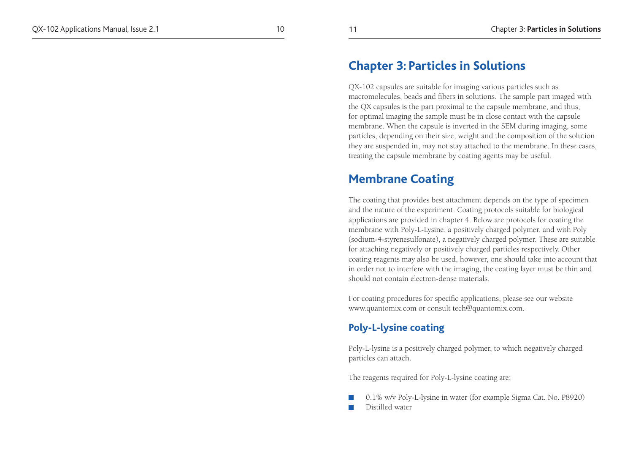# **Chapter 3: Particles in Solutions**

QX-102 capsules are suitable for imaging various particles such as macromolecules, beads and fibers in solutions. The sample part imaged with the QX capsules is the part proximal to the capsule membrane, and thus, for optimal imaging the sample must be in close contact with the capsule membrane. When the capsule is inverted in the SEM during imaging, some particles, depending on their size, weight and the composition of the solution they are suspended in, may not stay attached to the membrane. In these cases, treating the capsule membrane by coating agents may be useful.

# **Membrane Coating**

The coating that provides best attachment depends on the type of specimen and the nature of the experiment. Coating protocols suitable for biological applications are provided in chapter 4. Below are protocols for coating the membrane with Poly-L-Lysine, a positively charged polymer, and with Poly (sodium-4-styrenesulfonate), a negatively charged polymer. These are suitable for attaching negatively or positively charged particles respectively. Other coating reagents may also be used, however, one should take into account that in order not to interfere with the imaging, the coating layer must be thin and should not contain electron-dense materials.

For coating procedures for specific applications, please see our website www.quantomix.com or consult tech@quantomix.com.

## **Poly-L-lysine coating**

Poly-L-lysine is a positively charged polymer, to which negatively charged particles can attach.

The reagents required for Poly-L-lysine coating are:

 0.1% w/v Poly-L-lysine in water (for example Sigma Cat. No. P8920) **Distilled** water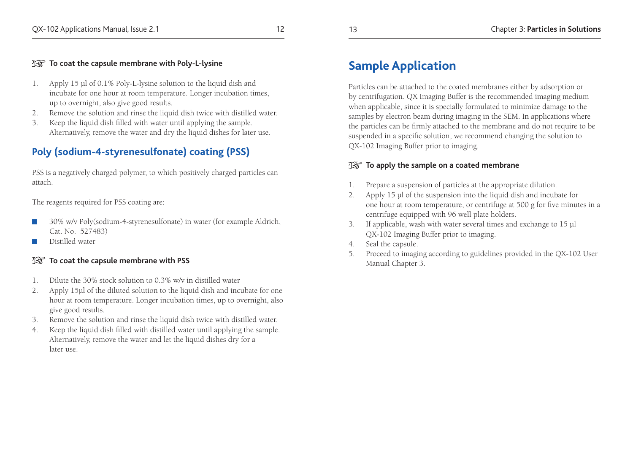#### **To coat the capsule membrane with Poly-L-lysine**

- 1. Apply 15 µl of 0.1% Poly-L-lysine solution to the liquid dish and incubate for one hour at room temperature. Longer incubation times, up to overnight, also give good results.
- 2. Remove the solution and rinse the liquid dish twice with distilled water.
- 3. Keep the liquid dish filled with water until applying the sample. Alternatively, remove the water and dry the liquid dishes for later use.

# **Poly (sodium-4-styrenesulfonate) coating (PSS)**

PSS is a negatively charged polymer, to which positively charged particles can attach.

The reagents required for PSS coating are:

- 30% w/v Poly(sodium-4-styrenesulfonate) in water (for example Aldrich, Cat. No. 527483)
- Distilled water

#### **To coat the capsule membrane with PSS**

- 1. Dilute the 30% stock solution to 0.3% w/v in distilled water
- 2. Apply 15µl of the diluted solution to the liquid dish and incubate for one hour at room temperature. Longer incubation times, up to overnight, also give good results.
- 3. Remove the solution and rinse the liquid dish twice with distilled water.
- 4. Keep the liquid dish filled with distilled water until applying the sample. Alternatively, remove the water and let the liquid dishes dry for a later use.

# **Sample Application**

Particles can be attached to the coated membranes either by adsorption or by centrifugation. QX Imaging Buffer is the recommended imaging medium when applicable, since it is specially formulated to minimize damage to the samples by electron beam during imaging in the SEM. In applications where the particles can be firmly attached to the membrane and do not require to be suspended in a specific solution, we recommend changing the solution to QX-102 Imaging Buffer prior to imaging.

#### **TO apply the sample on a coated membrane**

- 1. Prepare a suspension of particles at the appropriate dilution.
- 2. Apply 15 µl of the suspension into the liquid dish and incubate for one hour at room temperature, or centrifuge at 500 g for five minutes in a centrifuge equipped with 96 well plate holders.
- 3. If applicable, wash with water several times and exchange to 15 µl QX-102 Imaging Buffer prior to imaging.
- 4. Seal the capsule.
- 5. Proceed to imaging according to guidelines provided in the QX-102 User Manual Chapter 3.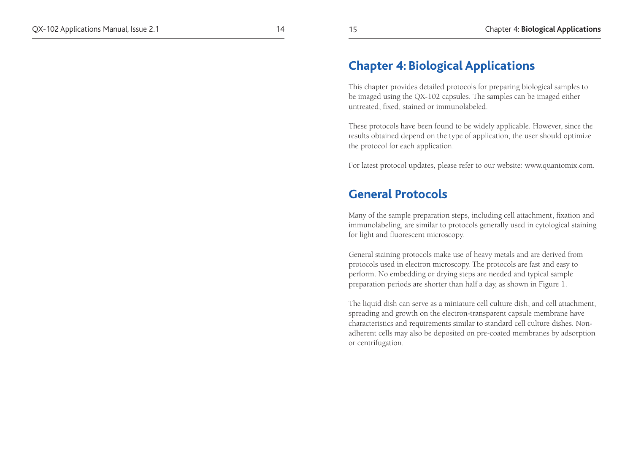# **Chapter 4: Biological Applications**

This chapter provides detailed protocols for preparing biological samples to be imaged using the QX-102 capsules. The samples can be imaged either untreated, fixed, stained or immunolabeled.

These protocols have been found to be widely applicable. However, since the results obtained depend on the type of application, the user should optimize the protocol for each application.

For latest protocol updates, please refer to our website: www.quantomix.com.

# **General Protocols**

Many of the sample preparation steps, including cell attachment, fixation and immunolabeling, are similar to protocols generally used in cytological staining for light and fluorescent microscopy.

General staining protocols make use of heavy metals and are derived from protocols used in electron microscopy. The protocols are fast and easy to perform. No embedding or drying steps are needed and typical sample preparation periods are shorter than half a day, as shown in Figure 1.

The liquid dish can serve as a miniature cell culture dish, and cell attachment, spreading and growth on the electron-transparent capsule membrane have characteristics and requirements similar to standard cell culture dishes. Nonadherent cells may also be deposited on pre-coated membranes by adsorption or centrifugation.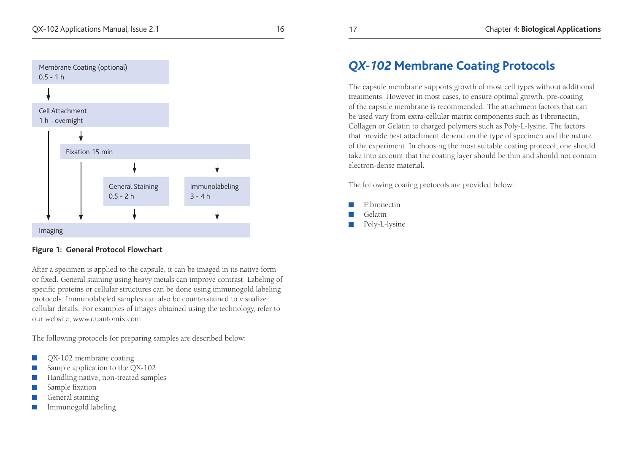

#### **Figure 1: General Protocol Flowchart**

After a specimen is applied to the capsule, it can be imaged in its native form or fixed. General staining using heavy metals can improve contrast. Labeling of specific proteins or cellular structures can be done using immunogold labeling protocols. Immunolabeled samples can also be counterstained to visualize cellular details. For examples of images obtained using the technology, refer to our website, www.quantomix.com.

The following protocols for preparing samples are described below:

- QX-102 membrane coating
- Sample application to the QX-102
- Handling native, non-treated samples
- Sample fixation
- General staining
- Immunogold labeling

# *QX-102* **Membrane Coating Protocols**

The capsule membrane supports growth of most cell types without additional treatments. However in most cases, to ensure optimal growth, pre-coating of the capsule membrane is recommended. The attachment factors that can be used vary from extra-cellular matrix components such as Fibronectin, Collagen or Gelatin to charged polymers such as Poly-L-lysine. The factors that provide best attachment depend on the type of specimen and the nature of the experiment. In choosing the most suitable coating protocol, one should take into account that the coating layer should be thin and should not contain electron-dense material.

The following coating protocols are provided below:

- Fibronectin
- Gelatin
- Poly-L-lysine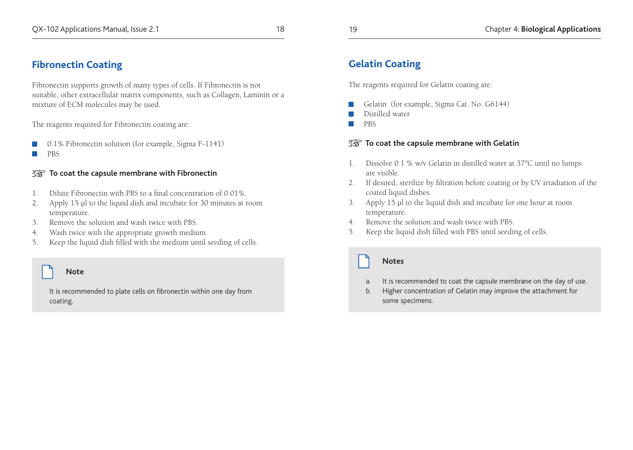## **Fibronectin Coating**

Fibronectin supports growth of many types of cells. If Fibronectin is not suitable, other extracellular matrix components, such as Collagen, Laminin or a mixture of ECM molecules may be used.

The reagents required for Fibronectin coating are:

- 0.1% Fibronectin solution (for example, Sigma F-1141)
- **PBS**

#### **To coat the capsule membrane with Fibronectin**

- 1. Dilute Fibronectin with PBS to a final concentration of 0.01%.
- 2. Apply 15 µl to the liquid dish and incubate for 30 minutes at room temperature.
- 3. Remove the solution and wash twice with PBS.
- 4. Wash twice with the appropriate growth medium.
- 5. Keep the liquid dish filled with the medium until seeding of cells.

#### **Note**

It is recommended to plate cells on fibronectin within one day from coating.

# **Gelatin Coating**

The reagents required for Gelatin coating are:

- Gelatin (for example, Sigma Cat. No. G6144)
- Distilled water
- **PBS**

#### **To coat the capsule membrane with Gelatin**

- 1. Dissolve 0.1 % w/v Gelatin in distilled water at 37ºC until no lumps are visible.
- 2. If desired, sterilize by filtration before coating or by UV irradiation of the coated liquid dishes.
- 3. Apply 15 µl to the liquid dish and incubate for one hour at room temperature.
- 4. Remove the solution and wash twice with PBS.
- 5. Keep the liquid dish filled with PBS until seeding of cells.

#### **Notes**

- a. It is recommended to coat the capsule membrane on the day of use.
- b. Higher concentration of Gelatin may improve the attachment for some specimens.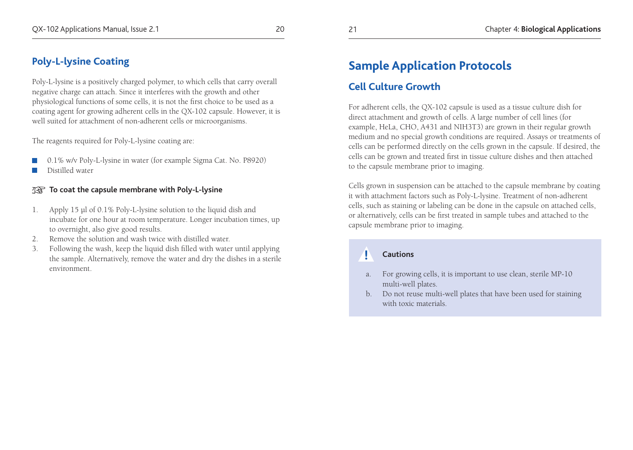## **Poly-L-lysine Coating**

Poly-L-lysine is a positively charged polymer, to which cells that carry overall negative charge can attach. Since it interferes with the growth and other physiological functions of some cells, it is not the first choice to be used as a coating agent for growing adherent cells in the QX-102 capsule. However, it is well suited for attachment of non-adherent cells or microorganisms.

The reagents required for Poly-L-lysine coating are:

- 0.1% w/v Poly-L-lysine in water (for example Sigma Cat. No. P8920)
- Distilled water

#### **To coat the capsule membrane with Poly-L-lysine**

- 1. Apply 15 µl of 0.1% Poly-L-lysine solution to the liquid dish and incubate for one hour at room temperature. Longer incubation times, up to overnight, also give good results.
- 2. Remove the solution and wash twice with distilled water.
- 3. Following the wash, keep the liquid dish filled with water until applying the sample. Alternatively, remove the water and dry the dishes in a sterile environment.

# **Sample Application Protocols**

# **Cell Culture Growth**

For adherent cells, the QX-102 capsule is used as a tissue culture dish for direct attachment and growth of cells. A large number of cell lines (for example, HeLa, CHO, A431 and NIH3T3) are grown in their regular growth medium and no special growth conditions are required. Assays or treatments of cells can be performed directly on the cells grown in the capsule. If desired, the cells can be grown and treated first in tissue culture dishes and then attached to the capsule membrane prior to imaging.

Cells grown in suspension can be attached to the capsule membrane by coating it with attachment factors such as Poly-L-lysine. Treatment of non-adherent cells, such as staining or labeling can be done in the capsule on attached cells, or alternatively, cells can be first treated in sample tubes and attached to the capsule membrane prior to imaging.

#### **Cautions**

**!**

- a. For growing cells, it is important to use clean, sterile MP-10 multi-well plates.
- b. Do not reuse multi-well plates that have been used for staining with toxic materials.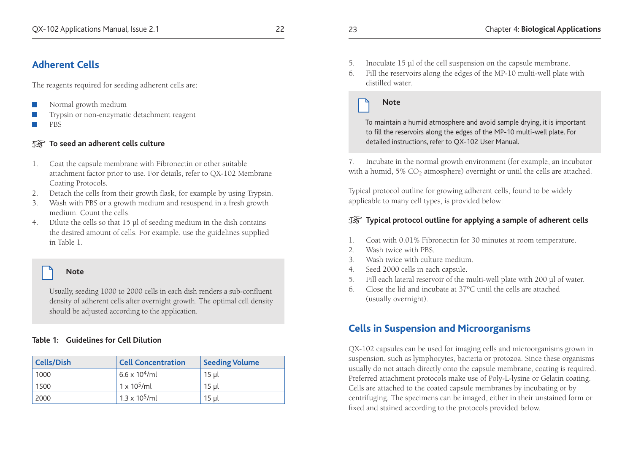## **Adherent Cells**

The reagents required for seeding adherent cells are:

- Normal growth medium
- Trypsin or non-enzymatic detachment reagent
- **PRS**

#### **To seed an adherent cells culture** 迟

- 1. Coat the capsule membrane with Fibronectin or other suitable attachment factor prior to use. For details, refer to QX-102 Membrane Coating Protocols.
- 2. Detach the cells from their growth flask, for example by using Trypsin.
- 3. Wash with PBS or a growth medium and resuspend in a fresh growth medium. Count the cells.
- 4. Dilute the cells so that 15 µl of seeding medium in the dish contains the desired amount of cells. For example, use the guidelines supplied in Table 1.

#### **Note**

Usually, seeding 1000 to 2000 cells in each dish renders a sub-confluent density of adherent cells after overnight growth. The optimal cell density should be adjusted according to the application.

#### **Table 1: Guidelines for Cell Dilution**

| <b>Cells/Dish</b> | <b>Cell Concentration</b> | <b>Seeding Volume</b> |
|-------------------|---------------------------|-----------------------|
| 1000              | $6.6 \times 10^4$ /ml     | 15 ul                 |
| 1500              | $1 \times 10^5$ /ml       | 15 ul                 |
| 2000              | $1.3 \times 10^5$ /ml     | 15 ul                 |

6. Fill the reservoirs along the edges of the MP-10 multi-well plate with distilled water.

#### **Note**

To maintain a humid atmosphere and avoid sample drying, it is important to fill the reservoirs along the edges of the MP-10 multi-well plate. For detailed instructions, refer to QX-102 User Manual.

7. Incubate in the normal growth environment (for example, an incubator with a humid,  $5\%$  CO<sub>2</sub> atmosphere) overnight or until the cells are attached.

Typical protocol outline for growing adherent cells, found to be widely applicable to many cell types, is provided below:

#### **The Typical protocol outline for applying a sample of adherent cells**

- 1. Coat with 0.01% Fibronectin for 30 minutes at room temperature.
- 2. Wash twice with PBS.
- 3. Wash twice with culture medium.
- 4. Seed 2000 cells in each capsule.
- 5. Fill each lateral reservoir of the multi-well plate with 200 µl of water.
- 6. Close the lid and incubate at 37ºC until the cells are attached (usually overnight).

## **Cells in Suspension and Microorganisms**

QX-102 capsules can be used for imaging cells and microorganisms grown in suspension, such as lymphocytes, bacteria or protozoa. Since these organisms usually do not attach directly onto the capsule membrane, coating is required. Preferred attachment protocols make use of Poly-L-lysine or Gelatin coating. Cells are attached to the coated capsule membranes by incubating or by centrifuging. The specimens can be imaged, either in their unstained form or fixed and stained according to the protocols provided below.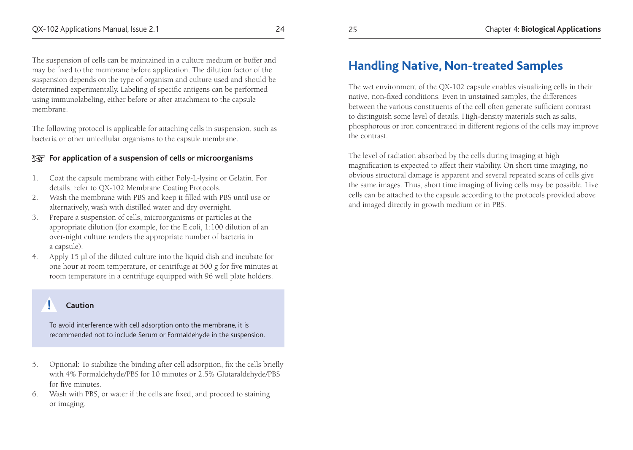The suspension of cells can be maintained in a culture medium or buffer and may be fixed to the membrane before application. The dilution factor of the suspension depends on the type of organism and culture used and should be determined experimentally. Labeling of specific antigens can be performed using immunolabeling, either before or after attachment to the capsule membrane.

The following protocol is applicable for attaching cells in suspension, such as bacteria or other unicellular organisms to the capsule membrane.

#### **For application of a suspension of cells or microorganisms**

- 1. Coat the capsule membrane with either Poly-L-lysine or Gelatin. For details, refer to QX-102 Membrane Coating Protocols.
- 2. Wash the membrane with PBS and keep it filled with PBS until use or alternatively, wash with distilled water and dry overnight.
- 3. Prepare a suspension of cells, microorganisms or particles at the appropriate dilution (for example, for the E.coli, 1:100 dilution of an over-night culture renders the appropriate number of bacteria in a capsule).
- 4. Apply 15 µl of the diluted culture into the liquid dish and incubate for one hour at room temperature, or centrifuge at 500 g for five minutes at room temperature in a centrifuge equipped with 96 well plate holders.

#### **! Caution**

To avoid interference with cell adsorption onto the membrane, it is recommended not to include Serum or Formaldehyde in the suspension.

- 5. Optional: To stabilize the binding after cell adsorption, fix the cells briefly with 4% Formaldehyde/PBS for 10 minutes or 2.5% Glutaraldehyde/PBS for five minutes.
- 6. Wash with PBS, or water if the cells are fixed, and proceed to staining or imaging.

# **Handling Native, Non-treated Samples**

The wet environment of the QX-102 capsule enables visualizing cells in their native, non-fixed conditions. Even in unstained samples, the differences between the various constituents of the cell often generate sufficient contrast to distinguish some level of details. High-density materials such as salts, phosphorous or iron concentrated in different regions of the cells may improve the contrast.

The level of radiation absorbed by the cells during imaging at high magnification is expected to affect their viability. On short time imaging, no obvious structural damage is apparent and several repeated scans of cells give the same images. Thus, short time imaging of living cells may be possible. Live cells can be attached to the capsule according to the protocols provided above and imaged directly in growth medium or in PBS.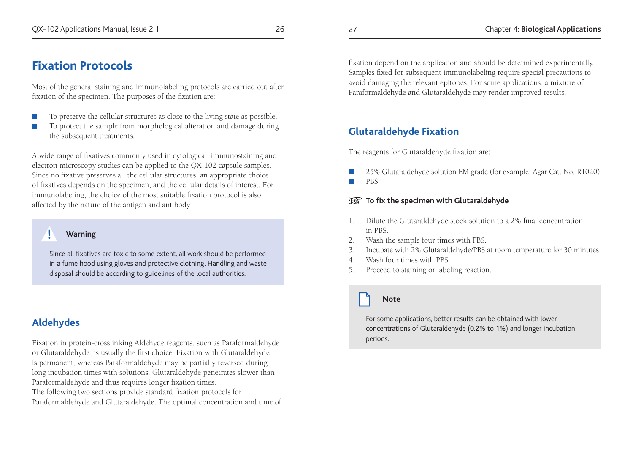# **Fixation Protocols**

Most of the general staining and immunolabeling protocols are carried out after fixation of the specimen. The purposes of the fixation are:

- To preserve the cellular structures as close to the living state as possible.
- To protect the sample from morphological alteration and damage during the subsequent treatments.

A wide range of fixatives commonly used in cytological, immunostaining and electron microscopy studies can be applied to the QX-102 capsule samples. Since no fixative preserves all the cellular structures, an appropriate choice of fixatives depends on the specimen, and the cellular details of interest. For immunolabeling, the choice of the most suitable fixation protocol is also affected by the nature of the antigen and antibody.

#### **Warning**

Since all fixatives are toxic to some extent, all work should be performed in a fume hood using gloves and protective clothing. Handling and waste disposal should be according to guidelines of the local authorities.

# **Aldehydes**

**!**

Fixation in protein-crosslinking Aldehyde reagents, such as Paraformaldehyde or Glutaraldehyde, is usually the first choice. Fixation with Glutaraldehyde is permanent, whereas Paraformaldehyde may be partially reversed during long incubation times with solutions. Glutaraldehyde penetrates slower than Paraformaldehyde and thus requires longer fixation times.

The following two sections provide standard fixation protocols for Paraformaldehyde and Glutaraldehyde. The optimal concentration and time of fixation depend on the application and should be determined experimentally. Samples fixed for subsequent immunolabeling require special precautions to avoid damaging the relevant epitopes. For some applications, a mixture of Paraformaldehyde and Glutaraldehyde may render improved results.

# **Glutaraldehyde Fixation**

The reagents for Glutaraldehyde fixation are:

- 25% Glutaraldehyde solution EM grade (for example, Agar Cat. No. R1020)
- PBS

#### **To fix the specimen with Glutaraldehyde**

- 1. Dilute the Glutaraldehyde stock solution to a 2% final concentration in PBS.
- 2. Wash the sample four times with PBS.
- 3. Incubate with 2% Glutaraldehyde/PBS at room temperature for 30 minutes.
- 4. Wash four times with PBS.
- 5. Proceed to staining or labeling reaction.

## **Note**

For some applications, better results can be obtained with lower concentrations of Glutaraldehyde (0.2% to 1%) and longer incubation periods.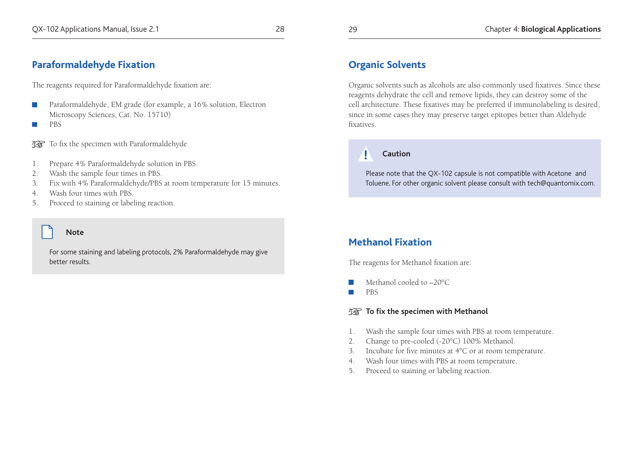#### **Paraformaldehyde Fixation**

The reagents required for Paraformaldehyde fixation are:

- Paraformaldehyde, EM grade (for example, a 16% solution, Electron Microscopy Sciences, Cat. No. 15710)
- **PBS**

Te To fix the specimen with Paraformaldehyde

- 1. Prepare 4% Paraformaldehyde solution in PBS.
- 2. Wash the sample four times in PBS.
- 3. Fix with 4% Paraformaldehyde/PBS at room temperature for 15 minutes.
- 4. Wash four times with PBS.
- 5. Proceed to staining or labeling reaction.

#### **Note**

For some staining and labeling protocols, 2% Paraformaldehyde may give better results.

## **Organic Solvents**

Organic solvents such as alcohols are also commonly used fixatives. Since these reagents dehydrate the cell and remove lipids, they can destroy some of the cell architecture. These fixatives may be preferred if immunolabeling is desired, since in some cases they may preserve target epitopes better than Aldehyde fixatives.

#### **Caution**

**!**

Please note that the QX-102 capsule is not compatible with Acetone and Toluene. For other organic solvent please consult with tech@quantomix.com.

# **Methanol Fixation**

The reagents for Methanol fixation are:

- Methanol cooled to –20°C
- **PBS**

**To fix the specimen with Methanol** 

- 1. Wash the sample four times with PBS at room temperature.
- 2. Change to pre-cooled (-20°C) 100% Methanol.
- 3. Incubate for five minutes at 4°C or at room temperature.
- 4. Wash four times with PBS at room temperature.
- 5. Proceed to staining or labeling reaction.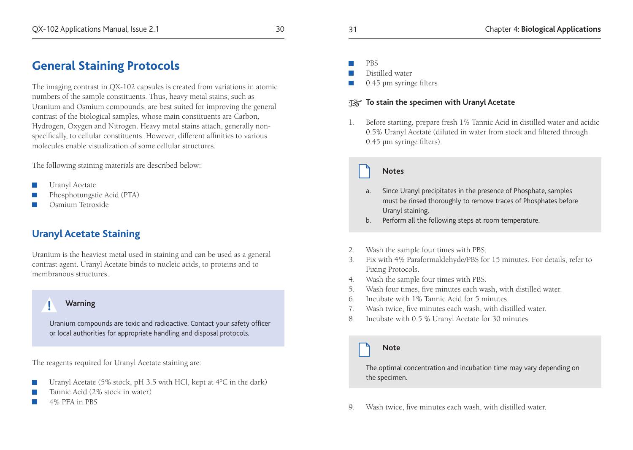The imaging contrast in QX-102 capsules is created from variations in atomic numbers of the sample constituents. Thus, heavy metal stains, such as Uranium and Osmium compounds, are best suited for improving the general contrast of the biological samples, whose main constituents are Carbon, Hydrogen, Oxygen and Nitrogen. Heavy metal stains attach, generally nonspecifically, to cellular constituents. However, different affinities to various molecules enable visualization of some cellular structures.

The following staining materials are described below:

- Uranyl Acetate
- Phosphotungstic Acid (PTA)
- Osmium Tetroxide

# **Uranyl Acetate Staining**

Uranium is the heaviest metal used in staining and can be used as a general contrast agent. Uranyl Acetate binds to nucleic acids, to proteins and to membranous structures.

#### **! Warning**

Uranium compounds are toxic and radioactive. Contact your safety officer or local authorities for appropriate handling and disposal protocols.

The reagents required for Uranyl Acetate staining are:

- Uranyl Acetate (5% stock, pH 3.5 with HCl, kept at 4°C in the dark)
- Tannic Acid (2% stock in water)
- 4% PFA in PBS

PBS

Distilled water

0.45 µm syringe filters

#### **TAS To stain the specimen with Uranyl Acetate**

1. Before starting, prepare fresh 1% Tannic Acid in distilled water and acidic 0.5% Uranyl Acetate (diluted in water from stock and filtered through 0.45 µm syringe filters).

#### **Notes**

- a. Since Uranyl precipitates in the presence of Phosphate, samples must be rinsed thoroughly to remove traces of Phosphates before Uranyl staining.
- b. Perform all the following steps at room temperature.
- 2. Wash the sample four times with PBS.
- 3. Fix with 4% Paraformaldehyde/PBS for 15 minutes. For details, refer to Fixing Protocols.
- 4. Wash the sample four times with PBS.
- 5. Wash four times, five minutes each wash, with distilled water.
- 6. Incubate with 1% Tannic Acid for 5 minutes.
- 7. Wash twice, five minutes each wash, with distilled water.
- 8. Incubate with 0.5 % Uranyl Acetate for 30 minutes.

#### **Note**

The optimal concentration and incubation time may vary depending on the specimen.

9. Wash twice, five minutes each wash, with distilled water.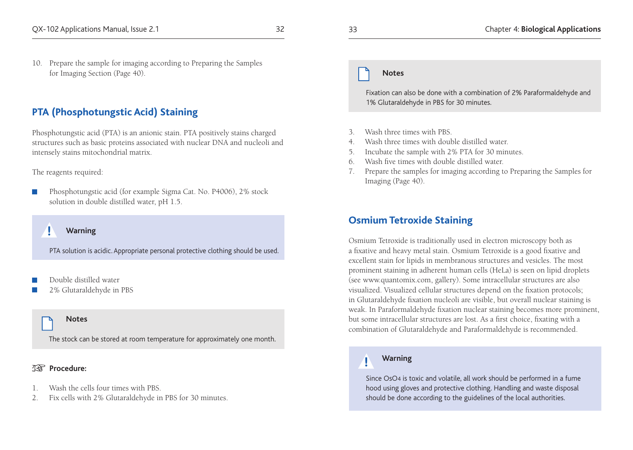#### 10. Prepare the sample for imaging according to Preparing the Samples for Imaging Section (Page 40).

#### **PTA (Phosphotungstic Acid) Staining**

Phosphotungstic acid (PTA) is an anionic stain. PTA positively stains charged structures such as basic proteins associated with nuclear DNA and nucleoli and intensely stains mitochondrial matrix.

#### The reagents required:

 Phosphotungstic acid (for example Sigma Cat. No. P4006), 2% stock solution in double distilled water, pH 1.5.

#### **! Warning**

PTA solution is acidic. Appropriate personal protective clothing should be used.

- Double distilled water
- 2% Glutaraldehyde in PBS

#### **Notes**

The stock can be stored at room temperature for approximately one month.

#### **Procedure:**

- 1. Wash the cells four times with PBS.
- 2. Fix cells with 2% Glutaraldehyde in PBS for 30 minutes.

#### **Notes**

Fixation can also be done with a combination of 2% Paraformaldehyde and 1% Glutaraldehyde in PBS for 30 minutes.

- 3. Wash three times with PBS.
- 4. Wash three times with double distilled water.
- 5. Incubate the sample with 2% PTA for 30 minutes.
- 6. Wash five times with double distilled water.
- 7. Prepare the samples for imaging according to Preparing the Samples for Imaging (Page 40).

#### **Osmium Tetroxide Staining**

Osmium Tetroxide is traditionally used in electron microscopy both as a fixative and heavy metal stain. Osmium Tetroxide is a good fixative and excellent stain for lipids in membranous structures and vesicles. The most prominent staining in adherent human cells (HeLa) is seen on lipid droplets (see www.quantomix.com, gallery). Some intracellular structures are also visualized. Visualized cellular structures depend on the fixation protocols; in Glutaraldehyde fixation nucleoli are visible, but overall nuclear staining is weak. In Paraformaldehyde fixation nuclear staining becomes more prominent, but some intracellular structures are lost. As a first choice, fixating with a combination of Glutaraldehyde and Paraformaldehyde is recommended.

#### **Warning**

**!**

Since OsO4 is toxic and volatile, all work should be performed in a fume hood using gloves and protective clothing. Handling and waste disposal should be done according to the guidelines of the local authorities.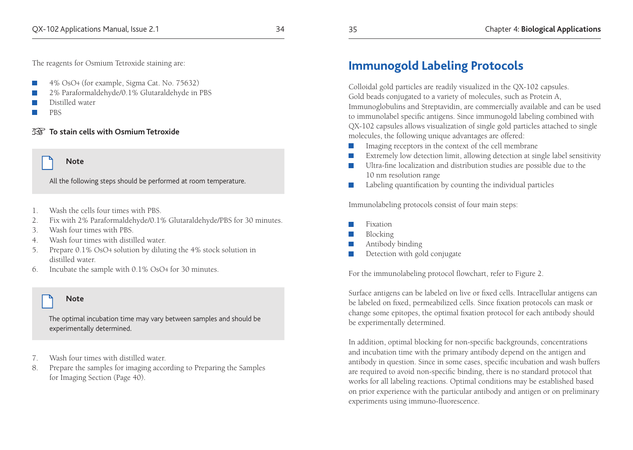The reagents for Osmium Tetroxide staining are:

- 4% OsO4 (for example, Sigma Cat. No. 75632)
- 2% Paraformaldehyde/0.1% Glutaraldehyde in PBS
- Distilled water
- **PRS**

#### **To stain cells with Osmium Tetroxide**

#### **Note**

All the following steps should be performed at room temperature.

- 1. Wash the cells four times with PBS.
- 2. Fix with 2% Paraformaldehyde/0.1% Glutaraldehyde/PBS for 30 minutes.
- 3. Wash four times with PBS.
- 4. Wash four times with distilled water.
- 5. Prepare 0.1% OsO4 solution by diluting the 4% stock solution in distilled water.
- 6. Incubate the sample with 0.1% OsO4 for 30 minutes.

#### **Note**

The optimal incubation time may vary between samples and should be experimentally determined.

- 7. Wash four times with distilled water.
- 8. Prepare the samples for imaging according to Preparing the Samples for Imaging Section (Page 40).

# **Immunogold Labeling Protocols**

Colloidal gold particles are readily visualized in the QX-102 capsules. Gold beads conjugated to a variety of molecules, such as Protein A, Immunoglobulins and Streptavidin, are commercially available and can be used to immunolabel specific antigens. Since immunogold labeling combined with QX-102 capsules allows visualization of single gold particles attached to single molecules, the following unique advantages are offered:

- Imaging receptors in the context of the cell membrane
- Extremely low detection limit, allowing detection at single label sensitivity
- **Ultra-fine localization and distribution studies are possible due to the** 10 nm resolution range
- **Labeling quantification by counting the individual particles**

Immunolabeling protocols consist of four main steps:

- Fixation
- Blocking
- Antibody binding
- Detection with gold conjugate

For the immunolabeling protocol flowchart, refer to Figure 2.

Surface antigens can be labeled on live or fixed cells. Intracellular antigens can be labeled on fixed, permeabilized cells. Since fixation protocols can mask or change some epitopes, the optimal fixation protocol for each antibody should be experimentally determined.

In addition, optimal blocking for non-specific backgrounds, concentrations and incubation time with the primary antibody depend on the antigen and antibody in question. Since in some cases, specific incubation and wash buffers are required to avoid non-specific binding, there is no standard protocol that works for all labeling reactions. Optimal conditions may be established based on prior experience with the particular antibody and antigen or on preliminary experiments using immuno-fluorescence.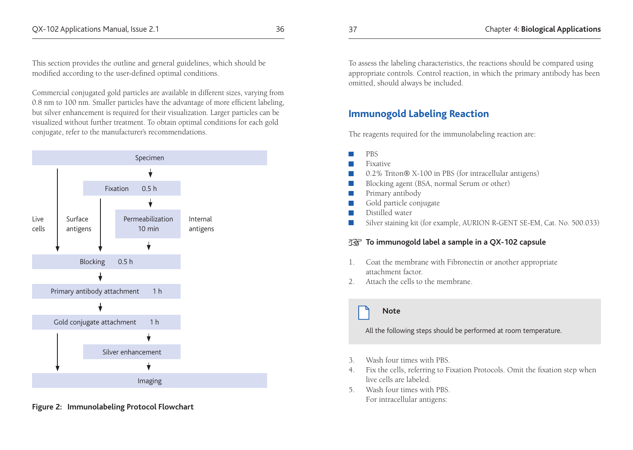This section provides the outline and general guidelines, which should be modified according to the user-defined optimal conditions.

Commercial conjugated gold particles are available in different sizes, varying from 0.8 nm to 100 nm. Smaller particles have the advantage of more efficient labeling, but silver enhancement is required for their visualization. Larger particles can be visualized without further treatment. To obtain optimal conditions for each gold conjugate, refer to the manufacturer's recommendations.



**Figure 2: Immunolabeling Protocol Flowchart**

To assess the labeling characteristics, the reactions should be compared using appropriate controls. Control reaction, in which the primary antibody has been omitted, should always be included.

#### **Immunogold Labeling Reaction**

The reagents required for the immunolabeling reaction are:

- $PBS$
- $\blacksquare$  Fixative
- 0.2% Triton® X-100 in PBS (for intracellular antigens)
- Blocking agent (BSA, normal Serum or other)
- **Primary antibody**
- Gold particle conjugate
- **Distilled** water
- Silver staining kit (for example, AURION R-GENT SE-EM, Cat. No. 500.033)

#### **To immunogold label a sample in a QX-102 capsule**

- 1. Coat the membrane with Fibronectin or another appropriate attachment factor.
- 2. Attach the cells to the membrane.

#### **Note**

All the following steps should be performed at room temperature.

- 3. Wash four times with PBS.
- 4. Fix the cells, referring to Fixation Protocols. Omit the fixation step when live cells are labeled.
- 5. Wash four times with PBS. For intracellular antigens: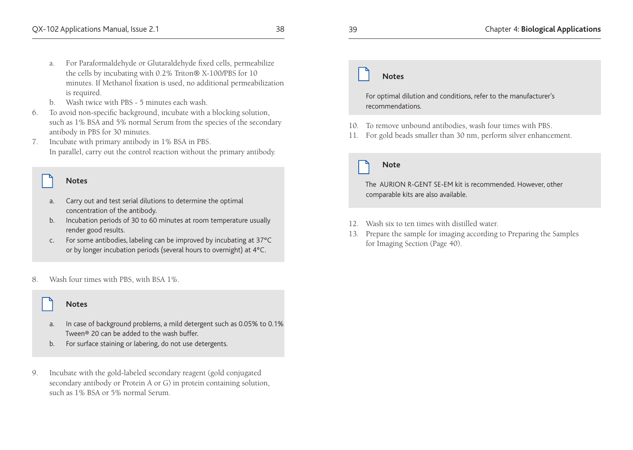#### a. For Paraformaldehyde or Glutaraldehyde fixed cells, permeabilize the cells by incubating with 0.2% Triton® X-100/PBS for 10 minutes. If Methanol fixation is used, no additional permeabilization is required.

- b. Wash twice with PBS 5 minutes each wash.
- 6. To avoid non-specific background, incubate with a blocking solution, such as 1% BSA and 5% normal Serum from the species of the secondary antibody in PBS for 30 minutes.
- 7. Incubate with primary antibody in 1% BSA in PBS. In parallel, carry out the control reaction without the primary antibody.

#### **Notes**

- Carry out and test serial dilutions to determine the optimal concentration of the antibody.
- b. Incubation periods of 30 to 60 minutes at room temperature usually render good results.
- c. For some antibodies, labeling can be improved by incubating at 37ºC or by longer incubation periods (several hours to overnight) at 4ºC.
- 8. Wash four times with PBS, with BSA 1%.

#### **Notes**

- a. In case of background problems, a mild detergent such as 0.05% to 0.1% Tween® 20 can be added to the wash buffer.
- b. For surface staining or labering, do not use detergents.
- 9. Incubate with the gold-labeled secondary reagent (gold conjugated secondary antibody or Protein A or G) in protein containing solution, such as 1% BSA or 5% normal Serum.

# **Notes**

For optimal dilution and conditions, refer to the manufacturer's recommendations.

- 10. To remove unbound antibodies, wash four times with PBS.
- 11. For gold beads smaller than 30 nm, perform silver enhancement.

## **Note**

The AURION R-GENT SE-EM kit is recommended. However, other comparable kits are also available.

- 12. Wash six to ten times with distilled water.
- 13. Prepare the sample for imaging according to Preparing the Samples for Imaging Section (Page 40).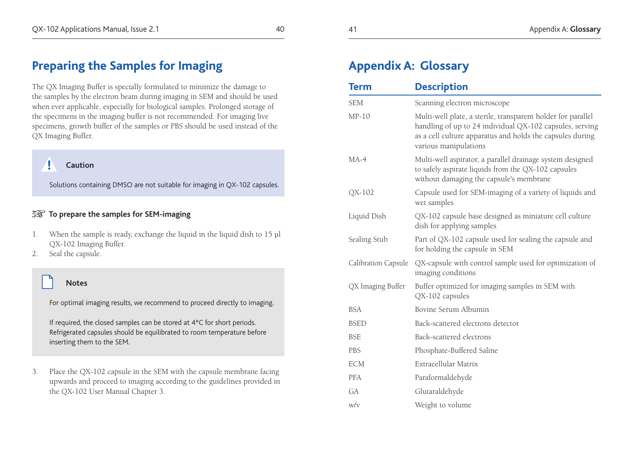# **Preparing the Samples for Imaging**

The QX Imaging Buffer is specially formulated to minimize the damage to the samples by the electron beam during imaging in SEM and should be used when ever applicable, especially for biological samples. Prolonged storage of the specimens in the imaging buffer is not recommended. For imaging live specimens, growth buffer of the samples or PBS should be used instead of the QX Imaging Buffer.

#### **! Caution**

Solutions containing DMSO are not suitable for imaging in QX-102 capsules.

#### **TG** To prepare the samples for SEM-imaging

- 1. When the sample is ready, exchange the liquid in the liquid dish to 15 µl QX-102 Imaging Buffer.
- 2. Seal the capsule.

#### **Notes**

For optimal imaging results, we recommend to proceed directly to imaging.

If required, the closed samples can be stored at 4ºC for short periods. Refrigerated capsules should be equilibrated to room temperature before inserting them to the SEM.

3. Place the QX-102 capsule in the SEM with the capsule membrane facing upwards and proceed to imaging according to the guidelines provided in the QX-102 User Manual Chapter 3.

w/v Weight to volume

| <b>Term</b>         | <b>Description</b>                                                                                                                                                                                             |
|---------------------|----------------------------------------------------------------------------------------------------------------------------------------------------------------------------------------------------------------|
| <b>SEM</b>          | Scanning electron microscope                                                                                                                                                                                   |
| $MP-10$             | Multi-well plate, a sterile, transparent holder for parallel<br>handling of up to 24 individual QX-102 capsules, serving<br>as a cell culture apparatus and holds the capsules during<br>various manipulations |
| $MA-4$              | Multi-well aspirator, a parallel drainage system designed<br>to safely aspirate liquids from the QX-102 capsules<br>without damaging the capsule's membrane                                                    |
| QX-102              | Capsule used for SEM-imaging of a variety of liquids and<br>wet samples                                                                                                                                        |
| Liquid Dish         | QX-102 capsule base designed as miniature cell culture<br>dish for applying samples                                                                                                                            |
| Sealing Stub        | Part of QX-102 capsule used for sealing the capsule and<br>for holding the capsule in SEM                                                                                                                      |
| Calibration Capsule | QX-capsule with control sample used for optimization of<br>imaging conditions                                                                                                                                  |
| QX Imaging Buffer   | Buffer optimized for imaging samples in SEM with<br>QX-102 capsules                                                                                                                                            |
| <b>BSA</b>          | Bovine Serum Albumin                                                                                                                                                                                           |
| <b>BSED</b>         | Back-scattered electrons detector                                                                                                                                                                              |
| <b>BSE</b>          | Back-scattered electrons                                                                                                                                                                                       |
| <b>PBS</b>          | Phosphate-Buffered Saline                                                                                                                                                                                      |
| <b>ECM</b>          | Extracellular Matrix                                                                                                                                                                                           |
| <b>PFA</b>          | Paraformaldehyde                                                                                                                                                                                               |
| GA                  | Glutaraldehyde                                                                                                                                                                                                 |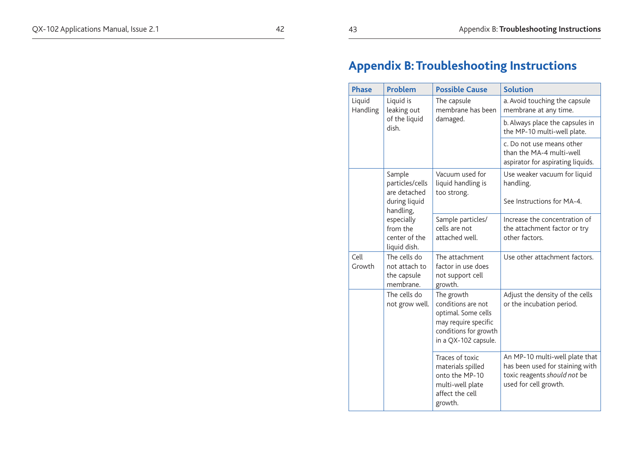# **Appendix B: Troubleshooting Instructions**

| <b>Phase</b>                    | Problem                                                   | <b>Possible Cause</b>                                                                                                            | <b>Solution</b>                                                                                                            |
|---------------------------------|-----------------------------------------------------------|----------------------------------------------------------------------------------------------------------------------------------|----------------------------------------------------------------------------------------------------------------------------|
| Liquid is<br>Liquid<br>Handling | leaking out                                               | The capsule<br>membrane has been<br>damaged.                                                                                     | a. Avoid touching the capsule<br>membrane at any time.                                                                     |
|                                 | of the liquid<br>dish.                                    |                                                                                                                                  | b. Always place the capsules in<br>the MP-10 multi-well plate.                                                             |
|                                 |                                                           |                                                                                                                                  | c. Do not use means other<br>than the MA-4 multi-well<br>aspirator for aspirating liquids.                                 |
|                                 | Sample<br>particles/cells<br>are detached                 | Vacuum used for<br>liquid handling is<br>too strong.                                                                             | Use weaker vacuum for liquid<br>handling.                                                                                  |
|                                 | during liquid<br>handling,                                |                                                                                                                                  | See Instructions for MA-4.                                                                                                 |
|                                 | especially<br>from the<br>center of the<br>liquid dish.   | Sample particles/<br>cells are not<br>attached well.                                                                             | Increase the concentration of<br>the attachment factor or try<br>other factors.                                            |
| Cell<br>Growth                  | The cells do<br>not attach to<br>the capsule<br>membrane. | The attachment<br>factor in use does<br>not support cell<br>growth.                                                              | Use other attachment factors.                                                                                              |
|                                 | The cells do<br>not grow well.                            | The growth<br>conditions are not<br>optimal. Some cells<br>may require specific<br>conditions for growth<br>in a QX-102 capsule. | Adjust the density of the cells<br>or the incubation period.                                                               |
|                                 |                                                           | Traces of toxic<br>materials spilled<br>onto the MP-10<br>multi-well plate<br>affect the cell<br>growth.                         | An MP-10 multi-well plate that<br>has been used for staining with<br>toxic reagents should not be<br>used for cell growth. |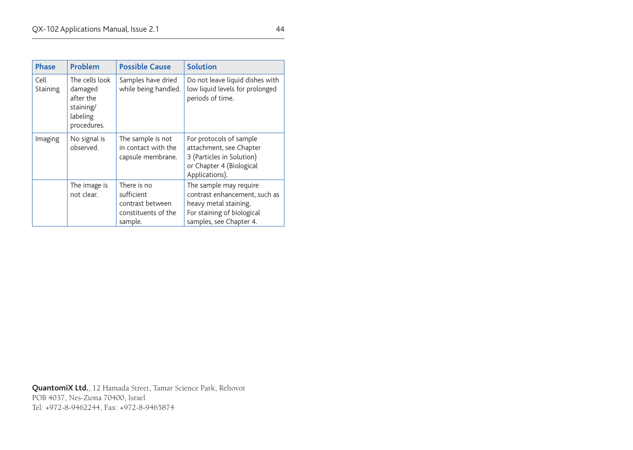| <b>Phase</b>     | Problem                                                                        | <b>Possible Cause</b>                                                           | <b>Solution</b>                                                                                                                           |
|------------------|--------------------------------------------------------------------------------|---------------------------------------------------------------------------------|-------------------------------------------------------------------------------------------------------------------------------------------|
| Cell<br>Staining | The cells look<br>damaged<br>after the<br>staining/<br>labeling<br>procedures. | Samples have dried<br>while being handled.                                      | Do not leave liquid dishes with<br>low liquid levels for prolonged<br>periods of time.                                                    |
| Imaging          | No signal is<br>observed.                                                      | The sample is not<br>in contact with the<br>capsule membrane.                   | For protocols of sample<br>attachment, see Chapter<br>3 (Particles in Solution)<br>or Chapter 4 (Biological<br>Applications).             |
|                  | The image is<br>not clear.                                                     | There is no<br>sufficient<br>contrast between<br>constituents of the<br>sample. | The sample may require<br>contrast enhancement, such as<br>heavy metal staining.<br>For staining of biological<br>samples, see Chapter 4. |

**QuantomiX Ltd.**, 12 Hamada Street, Tamar Science Park, Rehovot POB 4037, Nes-Ziona 70400, Israel Tel: +972-8-9462244, Fax: +972-8-9465874